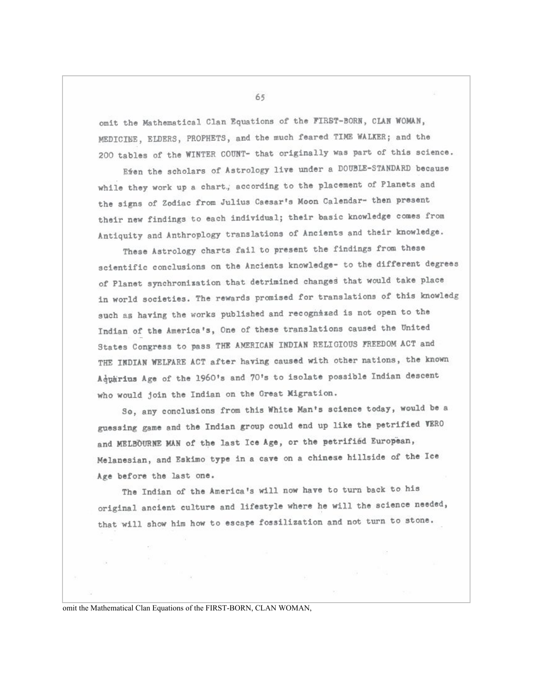omit the Mathematical Clan Equations of the FIRST-BORN, CLAN WOMAN. MEDICINE, ELDERS, PROPHETS, and the much feared TIME WALKER; and the 200 tables of the WINTER COUNT- that originally was part of this science.

Efen the scholars of Astrology live under a DOUBLE-STANDARD because while they work up a chart, according to the placement of Planets and the signs of Zodiac from Julius Caesar's Moon Calendar- then present their new findings to each individual; their basic knowledge comes from Antiquity and Anthroplogy translations of Ancients and their knowledge.

These Astrology charts fail to present the findings from these scientific conclusions on the Ancients knowledge- to the different degrees of Planet synchronization that detrimined changes that would take place in world societies. The rewards promised for translations of this knowledg such as having the works published and recognized is not open to the Indian of the America's, One of these translations caused the United States Congress to pass THE AMERICAN INDIAN RELIGIOUS FREEDOM ACT and THE INDIAN WELFARE ACT after having caused with other nations, the known Adparius Age of the 1960's and 70's to isolate possible Indian descent who would join the Indian on the Great Migration.

So, any conclusions from this White Man's science today, would be a guessing game and the Indian group could end up like the petrified VERO and MELBOURNE MAN of the last Ice Age, or the petrified European, Melanesian, and Eskimo type in a cave on a chinese hillside of the Ice Age before the last one.

The Indian of the America's will now have to turn back to his original ancient culture and lifestyle where he will the science needed, that will show him how to escape fossilization and not turn to stone.

omit the Mathematical Clan Equations of the FIRST-BORN, CLAN WOMAN,

65